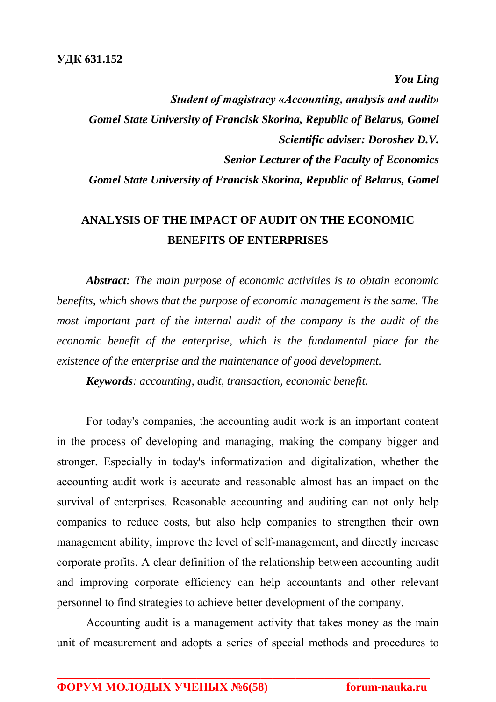*You Ling*

*Student of magistracy «Accounting, analysis and audit» Gomel State University of Francisk Skorina, Republic of Belarus, Gomel Scientific adviser: Doroshev D.V. Senior Lecturer of the Faculty of Economics Gomel State University of Francisk Skorina, Republic of Belarus, Gomel*

## **ANALYSIS OF THE IMPACT OF AUDIT ON THE ECONOMIC BENEFITS OF ENTERPRISES**

*Abstract: The main purpose of economic activities is to obtain economic benefits, which shows that the purpose of economic management is the same. The most important part of the internal audit of the company is the audit of the economic benefit of the enterprise, which is the fundamental place for the existence of the enterprise and the maintenance of good development.* 

*Keywords: accounting, audit, transaction, economic benefit.*

For today's companies, the accounting audit work is an important content in the process of developing and managing, making the company bigger and stronger. Especially in today's informatization and digitalization, whether the accounting audit work is accurate and reasonable almost has an impact on the survival of enterprises. Reasonable accounting and auditing can not only help companies to reduce costs, but also help companies to strengthen their own management ability, improve the level of self-management, and directly increase corporate profits. A clear definition of the relationship between accounting audit and improving corporate efficiency can help accountants and other relevant personnel to find strategies to achieve better development of the company.

Accounting audit is a management activity that takes money as the main unit of measurement and adopts a series of special methods and procedures to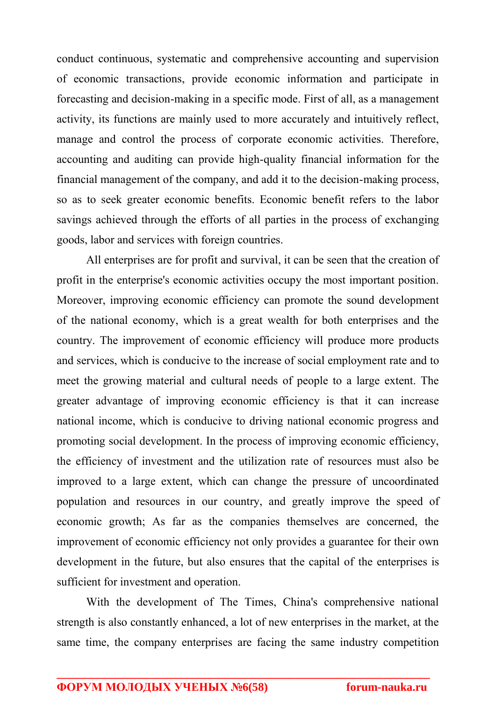conduct continuous, systematic and comprehensive accounting and supervision of economic transactions, provide economic information and participate in forecasting and decision-making in a specific mode. First of all, as a management activity, its functions are mainly used to more accurately and intuitively reflect, manage and control the process of corporate economic activities. Therefore, accounting and auditing can provide high-quality financial information for the financial management of the company, and add it to the decision-making process, so as to seek greater economic benefits. Economic benefit refers to the labor savings achieved through the efforts of all parties in the process of exchanging goods, labor and services with foreign countries.

All enterprises are for profit and survival, it can be seen that the creation of profit in the enterprise's economic activities occupy the most important position. Moreover, improving economic efficiency can promote the sound development of the national economy, which is a great wealth for both enterprises and the country. The improvement of economic efficiency will produce more products and services, which is conducive to the increase of social employment rate and to meet the growing material and cultural needs of people to a large extent. The greater advantage of improving economic efficiency is that it can increase national income, which is conducive to driving national economic progress and promoting social development. In the process of improving economic efficiency, the efficiency of investment and the utilization rate of resources must also be improved to a large extent, which can change the pressure of uncoordinated population and resources in our country, and greatly improve the speed of economic growth; As far as the companies themselves are concerned, the improvement of economic efficiency not only provides a guarantee for their own development in the future, but also ensures that the capital of the enterprises is sufficient for investment and operation.

With the development of The Times, China's comprehensive national strength is also constantly enhanced, a lot of new enterprises in the market, at the same time, the company enterprises are facing the same industry competition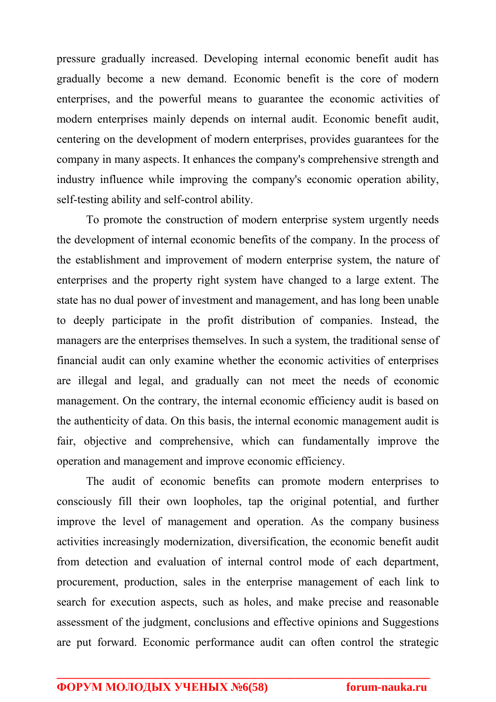pressure gradually increased. Developing internal economic benefit audit has gradually become a new demand. Economic benefit is the core of modern enterprises, and the powerful means to guarantee the economic activities of modern enterprises mainly depends on internal audit. Economic benefit audit, centering on the development of modern enterprises, provides guarantees for the company in many aspects. It enhances the company's comprehensive strength and industry influence while improving the company's economic operation ability, self-testing ability and self-control ability.

To promote the construction of modern enterprise system urgently needs the development of internal economic benefits of the company. In the process of the establishment and improvement of modern enterprise system, the nature of enterprises and the property right system have changed to a large extent. The state has no dual power of investment and management, and has long been unable to deeply participate in the profit distribution of companies. Instead, the managers are the enterprises themselves. In such a system, the traditional sense of financial audit can only examine whether the economic activities of enterprises are illegal and legal, and gradually can not meet the needs of economic management. On the contrary, the internal economic efficiency audit is based on the authenticity of data. On this basis, the internal economic management audit is fair, objective and comprehensive, which can fundamentally improve the operation and management and improve economic efficiency.

The audit of economic benefits can promote modern enterprises to consciously fill their own loopholes, tap the original potential, and further improve the level of management and operation. As the company business activities increasingly modernization, diversification, the economic benefit audit from detection and evaluation of internal control mode of each department, procurement, production, sales in the enterprise management of each link to search for execution aspects, such as holes, and make precise and reasonable assessment of the judgment, conclusions and effective opinions and Suggestions are put forward. Economic performance audit can often control the strategic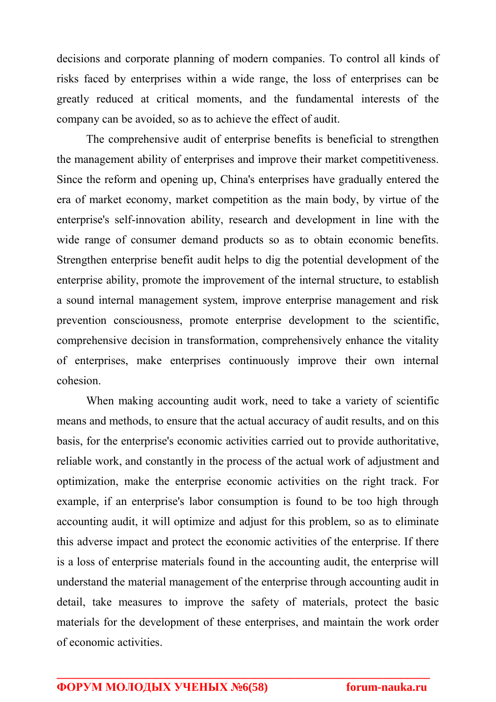decisions and corporate planning of modern companies. To control all kinds of risks faced by enterprises within a wide range, the loss of enterprises can be greatly reduced at critical moments, and the fundamental interests of the company can be avoided, so as to achieve the effect of audit.

The comprehensive audit of enterprise benefits is beneficial to strengthen the management ability of enterprises and improve their market competitiveness. Since the reform and opening up, China's enterprises have gradually entered the era of market economy, market competition as the main body, by virtue of the enterprise's self-innovation ability, research and development in line with the wide range of consumer demand products so as to obtain economic benefits. Strengthen enterprise benefit audit helps to dig the potential development of the enterprise ability, promote the improvement of the internal structure, to establish a sound internal management system, improve enterprise management and risk prevention consciousness, promote enterprise development to the scientific, comprehensive decision in transformation, comprehensively enhance the vitality of enterprises, make enterprises continuously improve their own internal cohesion.

When making accounting audit work, need to take a variety of scientific means and methods, to ensure that the actual accuracy of audit results, and on this basis, for the enterprise's economic activities carried out to provide authoritative, reliable work, and constantly in the process of the actual work of adjustment and optimization, make the enterprise economic activities on the right track. For example, if an enterprise's labor consumption is found to be too high through accounting audit, it will optimize and adjust for this problem, so as to eliminate this adverse impact and protect the economic activities of the enterprise. If there is a loss of enterprise materials found in the accounting audit, the enterprise will understand the material management of the enterprise through accounting audit in detail, take measures to improve the safety of materials, protect the basic materials for the development of these enterprises, and maintain the work order of economic activities.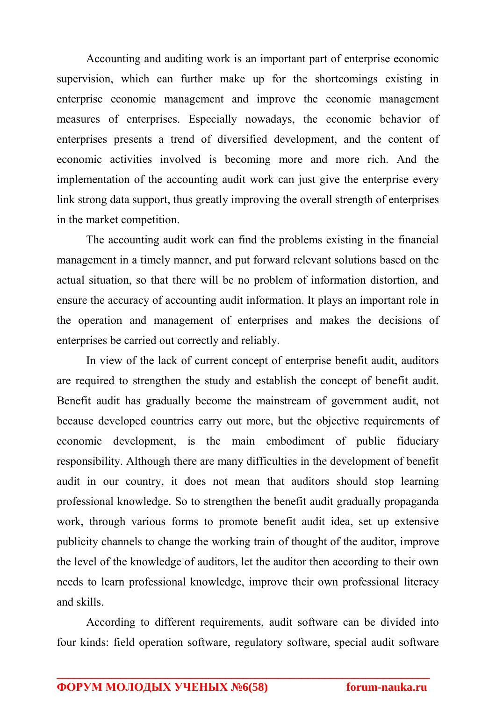Accounting and auditing work is an important part of enterprise economic supervision, which can further make up for the shortcomings existing in enterprise economic management and improve the economic management measures of enterprises. Especially nowadays, the economic behavior of enterprises presents a trend of diversified development, and the content of economic activities involved is becoming more and more rich. And the implementation of the accounting audit work can just give the enterprise every link strong data support, thus greatly improving the overall strength of enterprises in the market competition.

The accounting audit work can find the problems existing in the financial management in a timely manner, and put forward relevant solutions based on the actual situation, so that there will be no problem of information distortion, and ensure the accuracy of accounting audit information. It plays an important role in the operation and management of enterprises and makes the decisions of enterprises be carried out correctly and reliably.

In view of the lack of current concept of enterprise benefit audit, auditors are required to strengthen the study and establish the concept of benefit audit. Benefit audit has gradually become the mainstream of government audit, not because developed countries carry out more, but the objective requirements of economic development, is the main embodiment of public fiduciary responsibility. Although there are many difficulties in the development of benefit audit in our country, it does not mean that auditors should stop learning professional knowledge. So to strengthen the benefit audit gradually propaganda work, through various forms to promote benefit audit idea, set up extensive publicity channels to change the working train of thought of the auditor, improve the level of the knowledge of auditors, let the auditor then according to their own needs to learn professional knowledge, improve their own professional literacy and skills.

According to different requirements, audit software can be divided into four kinds: field operation software, regulatory software, special audit software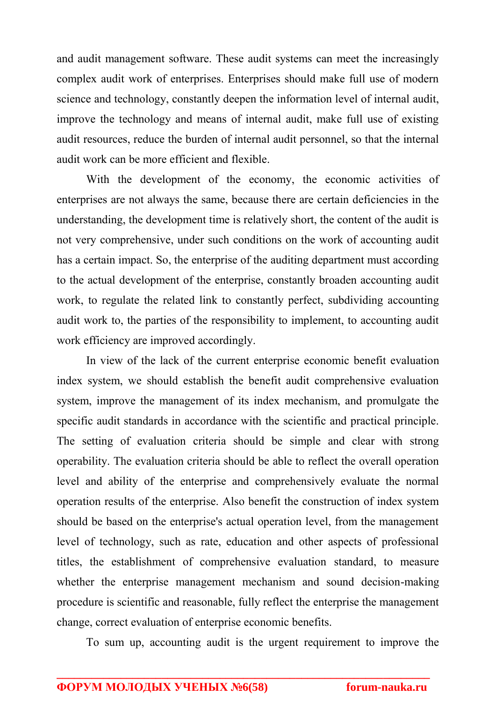and audit management software. These audit systems can meet the increasingly complex audit work of enterprises. Enterprises should make full use of modern science and technology, constantly deepen the information level of internal audit, improve the technology and means of internal audit, make full use of existing audit resources, reduce the burden of internal audit personnel, so that the internal audit work can be more efficient and flexible.

With the development of the economy, the economic activities of enterprises are not always the same, because there are certain deficiencies in the understanding, the development time is relatively short, the content of the audit is not very comprehensive, under such conditions on the work of accounting audit has a certain impact. So, the enterprise of the auditing department must according to the actual development of the enterprise, constantly broaden accounting audit work, to regulate the related link to constantly perfect, subdividing accounting audit work to, the parties of the responsibility to implement, to accounting audit work efficiency are improved accordingly.

In view of the lack of the current enterprise economic benefit evaluation index system, we should establish the benefit audit comprehensive evaluation system, improve the management of its index mechanism, and promulgate the specific audit standards in accordance with the scientific and practical principle. The setting of evaluation criteria should be simple and clear with strong operability. The evaluation criteria should be able to reflect the overall operation level and ability of the enterprise and comprehensively evaluate the normal operation results of the enterprise. Also benefit the construction of index system should be based on the enterprise's actual operation level, from the management level of technology, such as rate, education and other aspects of professional titles, the establishment of comprehensive evaluation standard, to measure whether the enterprise management mechanism and sound decision-making procedure is scientific and reasonable, fully reflect the enterprise the management change, correct evaluation of enterprise economic benefits.

To sum up, accounting audit is the urgent requirement to improve the